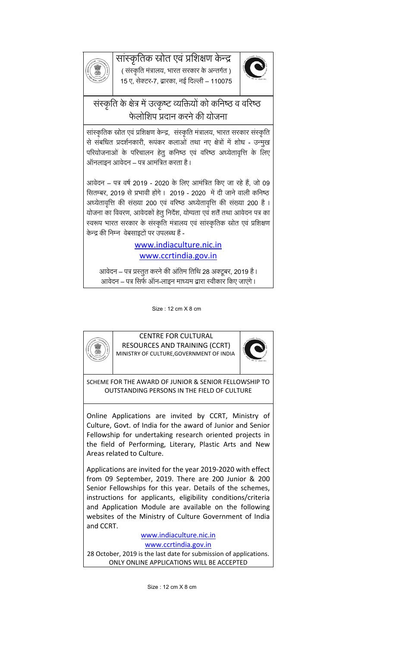# सांस्कृतिक स्रोत एवं प्रशिक्षण केन्द्र<br>( संस्कृति मंत्रालय, भारत सरकार के अन्तर्गत )



15 ए, सेक्टर-7, द्वारका, नई दिल्ली – 110075



# संस्कृति के क्षेत्र में उत्कृष्ट व्यक्तियों को कनिष्ठ व वरिष्ठ फेलोशिप प्रदान करने की योजना

सांस्कृतिक स्रोत एवं प्रशिक्षण केन्द्र, संस्कृति मंत्रालय, भारत सरकार संस्कृति से संबधित प्रदर्शनकारी, रूपंकर कलाओं तथा नए क्षेत्रों में शोध - उन्मुख परियोजनाओं के परिचालन हेतु कनिष्ठ एवं वरिष्ठ अध्येतावृत्ति के लिए ऑनलाइन आवेदन – पत्र आमं ित्रत करता है।

आवेदन – पत्र वर्ष 2019 - 2020 के लिए आमंत्रित किए जा रहे हैं, जो 09 सितम्बर, 2019 से प्रभावी होंगे। 2019 - 2020 में दी जाने वाली कनिष्ठ अध्येतावृत्ति की संख्या 200 एवं वरिष्ठ अध्येतावृत्ति की संख्या 200 है। योजना का विवरण, आवेदकों हेतु निर्देश, योग्यता एवं शर्तें तथा आवेदन पत्र का स्वरूप भारत सरकार के संस्कृति मंत्रालय एवं सांस्कृतिक स्रोत एवं प्रशिक्षण केन्द्र की निम्न)वेबसाइटों पर उपलब्ध हैं -

### www.indiaculture.nic.in www.ccrtindia.gov.in

आवेदन – पत्र प्रस्तुत करने की अंतिम तिथि 28 अक्टूबर, 2019 है। आवेदन – पत्र सिर्फ ऑन-लाइन माध्यम द्वारा स्वीकार किए जाएंगे ।

Size : 12 cm X 8 cm



CENTRE FOR CULTURAL RESOURCES AND TRAINING (CCRT) MINISTRY OF CULTURE,GOVERNMENT OF INDIA



SCHEME FOR THE AWARD OF JUNIOR & SENIOR FELLOWSHIP TO OUTSTANDING PERSONS IN THE FIELD OF CULTURE

Online Applications are invited by CCRT, Ministry of Culture, Govt. of India for the award of Junior and Senior Fellowship for undertaking research oriented projects in the field of Performing, Literary, Plastic Arts and New Areas related to Culture.

Applications are invited for the year 2019-2020 with effect from 09 September, 2019. There are 200 Junior & 200 Senior Fellowships for this year. Details of the schemes, instructions for applicants, eligibility conditions/criteria and Application Module are available on the following websites of the Ministry of Culture Government of India and CCRT.

www.indiaculture.nic.in

www.ccrtindia.gov.in 28 October, 2019 is the last date for submission of applications. ONLY ONLINE APPLICATIONS WILL BE ACCEPTED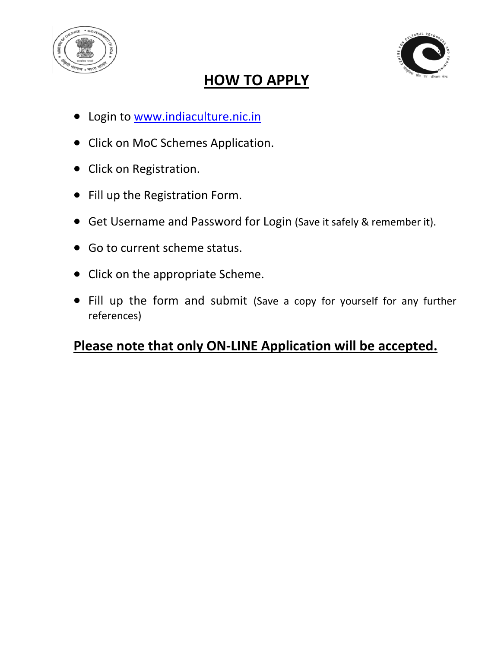



# **HOW TO APPLY**

- Login to [www.indiaculture.nic.in](http://www.indiaculture.nic.in/)
- Click on MoC Schemes Application.
- Click on Registration.
- Fill up the Registration Form.
- Get Username and Password for Login (Save it safely & remember it).
- Go to current scheme status.
- Click on the appropriate Scheme.
- Fill up the form and submit (Save a copy for yourself for any further references)

# **Please note that only ON-LINE Application will be accepted.**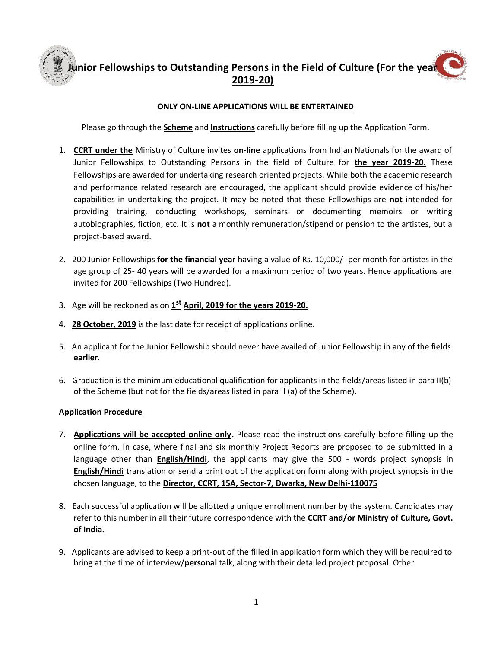## **Junior Fellowships to Outstanding Persons in the Field of Culture (For the year 2019-20)**

#### **ONLY ON-LINE APPLICATIONS WILL BE ENTERTAINED**

Please go through the **Scheme** and **Instructions** carefully before filling up the Application Form.

- 1. **CCRT under the** Ministry of Culture invites **on-line** applications from Indian Nationals for the award of Junior Fellowships to Outstanding Persons in the field of Culture for **the year 2019-20.** These Fellowships are awarded for undertaking research oriented projects. While both the academic research and performance related research are encouraged, the applicant should provide evidence of his/her capabilities in undertaking the project. It may be noted that these Fellowships are **not** intended for providing training, conducting workshops, seminars or documenting memoirs or writing autobiographies, fiction, etc. It is **not** a monthly remuneration/stipend or pension to the artistes, but a project-based award.
- 2. 200 Junior Fellowships **for the financial year** having a value of Rs. 10,000/- per month for artistes in the age group of 25- 40 years will be awarded for a maximum period of two years. Hence applications are invited for 200 Fellowships (Two Hundred).
- 3. Age will be reckoned as on **1 st April, 2019 for the years 2019-20.**
- 4. **28 October, 2019** is the last date for receipt of applications online.
- 5. An applicant for the Junior Fellowship should never have availed of Junior Fellowship in any of the fields **earlier**.
- 6. Graduation is the minimum educational qualification for applicants in the fields/areas listed in para II(b) of the Scheme (but not for the fields/areas listed in para II (a) of the Scheme).

#### **Application Procedure**

- 7. **Applications will be accepted online only.** Please read the instructions carefully before filling up the online form. In case, where final and six monthly Project Reports are proposed to be submitted in a language other than **English/Hindi**, the applicants may give the 500 - words project synopsis in **English/Hindi** translation or send a print out of the application form along with project synopsis in the chosen language, to the **Director, CCRT, 15A, Sector-7, Dwarka, New Delhi-110075**
- 8. Each successful application will be allotted a unique enrollment number by the system. Candidates may refer to this number in all their future correspondence with the **CCRT and/or Ministry of Culture, Govt. of India.**
- 9. Applicants are advised to keep a print-out of the filled in application form which they will be required to bring at the time of interview/**personal** talk, along with their detailed project proposal. Other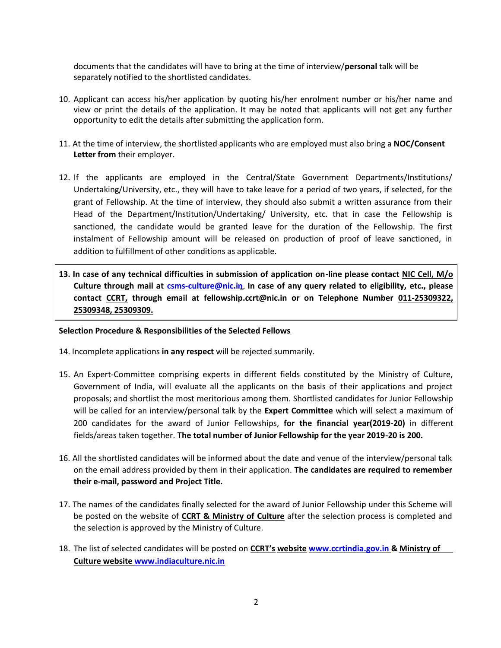documents that the candidates will have to bring at the time of interview/**personal** talk will be separately notified to the shortlisted candidates.

- 10. Applicant can access his/her application by quoting his/her enrolment number or his/her name and view or print the details of the application. It may be noted that applicants will not get any further opportunity to edit the details after submitting the application form.
- 11. At the time of interview, the shortlisted applicants who are employed must also bring a **NOC/Consent Letter from** their employer.
- 12. If the applicants are employed in the Central/State Government Departments/Institutions/ Undertaking/University, etc., they will have to take leave for a period of two years, if selected, for the grant of Fellowship. At the time of interview, they should also submit a written assurance from their Head of the Department/Institution/Undertaking/ University, etc. that in case the Fellowship is sanctioned, the candidate would be granted leave for the duration of the Fellowship. The first instalment of Fellowship amount will be released on production of proof of leave sanctioned, in addition to fulfillment of other conditions as applicable.
- **13. In case of any technical difficulties in submission of application on-line please contact NIC Cell, M/o Culture through mail at [csms-culture@nic.in](mailto:nic-culture@nic.in)**. **In case of any query related to eligibility, etc., please contact CCRT, through email at fellowship.ccrt@nic.in or on Telephone Number 011-25309322, 25309348, 25309309.**

#### **Selection Procedure & Responsibilities of the Selected Fellows**

- 14. Incomplete applications **in any respect** will be rejected summarily.
- 15. An Expert-Committee comprising experts in different fields constituted by the Ministry of Culture, Government of India, will evaluate all the applicants on the basis of their applications and project proposals; and shortlist the most meritorious among them. Shortlisted candidates for Junior Fellowship will be called for an interview/personal talk by the **Expert Committee** which will select a maximum of 200 candidates for the award of Junior Fellowships, **for the financial year(2019-20)** in different fields/areas taken together. **The total number of Junior Fellowship for the year 2019-20 is 200.**
- 16. All the shortlisted candidates will be informed about the date and venue of the interview/personal talk on the email address provided by them in their application. **The candidates are required to remember their e-mail, password and Project Title.**
- 17. The names of the candidates finally selected for the award of Junior Fellowship under this Scheme will be posted on the website of **CCRT & Ministry of Culture** after the selection process is completed and the selection is approved by the Ministry of Culture.
- 18. The list of selected candidates will be posted on **CCRT's website [www.ccrtindia.gov.in](http://www.ccrtindia.gov.in/) & Ministry of Culture website [www.indiaculture.nic.in](http://www.indiaculture.nic.in/)**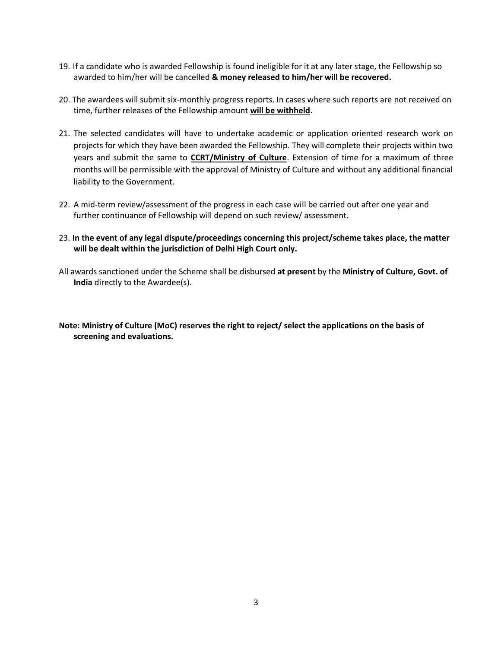- 19. If a candidate who is awarded Fellowship is found ineligible for it at any later stage, the Fellowship so awarded to him/her will be cancelled **& money released to him/her will be recovered.**
- 20. The awardees will submit six-monthly progress reports. In cases where such reports are not received on time, further releases of the Fellowship amount **will be withheld**.
- 21. The selected candidates will have to undertake academic or application oriented research work on projects for which they have been awarded the Fellowship. They will complete their projects within two years and submit the same to **CCRT/Ministry of Culture**. Extension of time for a maximum of three months will be permissible with the approval of Ministry of Culture and without any additional financial liability to the Government.
- 22. A mid-term review/assessment of the progress in each case will be carried out after one year and further continuance of Fellowship will depend on such review/ assessment.
- 23. **In the event of any legal dispute/proceedings concerning this project/scheme takes place, the matter will be dealt within the jurisdiction of Delhi High Court only.**
- All awards sanctioned under the Scheme shall be disbursed **at present** by the **Ministry of Culture, Govt. of India** directly to the Awardee(s).

**Note: Ministry of Culture (MoC) reserves the right to reject/ select the applications on the basis of screening and evaluations.**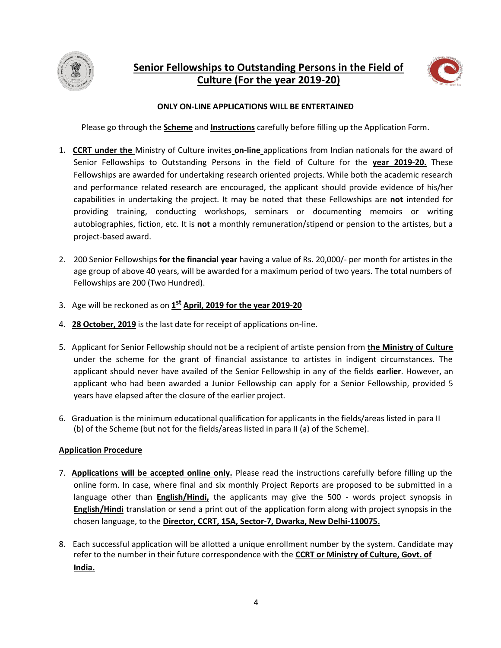



#### **ONLY ON-LINE APPLICATIONS WILL BE ENTERTAINED**

Please go through the **Scheme** and **Instructions** carefully before filling up the Application Form.

- 1**. CCRT under the** Ministry of Culture invites **on-line** applications from Indian nationals for the award of Senior Fellowships to Outstanding Persons in the field of Culture for the **year 2019-20.** These Fellowships are awarded for undertaking research oriented projects. While both the academic research and performance related research are encouraged, the applicant should provide evidence of his/her capabilities in undertaking the project. It may be noted that these Fellowships are **not** intended for providing training, conducting workshops, seminars or documenting memoirs or writing autobiographies, fiction, etc. It is **not** a monthly remuneration/stipend or pension to the artistes, but a project-based award.
- 2. 200 Senior Fellowships **for the financial year** having a value of Rs. 20,000/- per month for artistes in the age group of above 40 years, will be awarded for a maximum period of two years. The total numbers of Fellowships are 200 (Two Hundred).
- 3. Age will be reckoned as on **1 st April, 2019 for the year 2019-20**
- 4. **28 October, 2019** is the last date for receipt of applications on-line.
- 5. Applicant for Senior Fellowship should not be a recipient of artiste pension from **the Ministry of Culture** under the scheme for the grant of financial assistance to artistes in indigent circumstances. The applicant should never have availed of the Senior Fellowship in any of the fields **earlier**. However, an applicant who had been awarded a Junior Fellowship can apply for a Senior Fellowship, provided 5 years have elapsed after the closure of the earlier project.
- 6. Graduation is the minimum educational qualification for applicants in the fields/areas listed in para II (b) of the Scheme (but not for the fields/areas listed in para II (a) of the Scheme).

#### **Application Procedure**

- 7. **Applications will be accepted online only.** Please read the instructions carefully before filling up the online form. In case, where final and six monthly Project Reports are proposed to be submitted in a language other than **English/Hindi,** the applicants may give the 500 - words project synopsis in **English/Hindi** translation or send a print out of the application form along with project synopsis in the chosen language, to the **Director, CCRT, 15A, Sector-7, Dwarka, New Delhi-110075.**
- 8. Each successful application will be allotted a unique enrollment number by the system. Candidate may refer to the number in their future correspondence with the **CCRT or Ministry of Culture, Govt. of India.**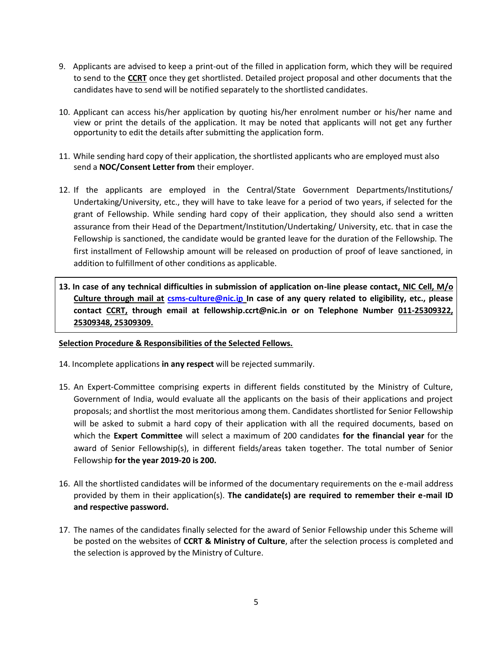- 9. Applicants are advised to keep a print-out of the filled in application form, which they will be required to send to the **CCRT** once they get shortlisted. Detailed project proposal and other documents that the candidates have to send will be notified separately to the shortlisted candidates.
- 10. Applicant can access his/her application by quoting his/her enrolment number or his/her name and view or print the details of the application. It may be noted that applicants will not get any further opportunity to edit the details after submitting the application form.
- 11. While sending hard copy of their application, the shortlisted applicants who are employed must also send a **NOC/Consent Letter from** their employer.
- 12. If the applicants are employed in the Central/State Government Departments/Institutions/ Undertaking/University, etc., they will have to take leave for a period of two years, if selected for the grant of Fellowship. While sending hard copy of their application, they should also send a written assurance from their Head of the Department/Institution/Undertaking/ University, etc. that in case the Fellowship is sanctioned, the candidate would be granted leave for the duration of the Fellowship. The first installment of Fellowship amount will be released on production of proof of leave sanctioned, in addition to fulfillment of other conditions as applicable.
- **13. In case of any technical difficulties in submission of application on-line please contact, NIC Cell, M/o Culture through mail at [csms-culture@nic.in](mailto:nic-culture@nic.in) In case of any query related to eligibility, etc., please contact CCRT, through email at fellowship.ccrt@nic.in or on Telephone Number 011-25309322, 25309348, 25309309.**

#### **Selection Procedure & Responsibilities of the Selected Fellows.**

- 14. Incomplete applications **in any respect** will be rejected summarily.
- 15. An Expert-Committee comprising experts in different fields constituted by the Ministry of Culture, Government of India, would evaluate all the applicants on the basis of their applications and project proposals; and shortlist the most meritorious among them. Candidates shortlisted for Senior Fellowship will be asked to submit a hard copy of their application with all the required documents, based on which the **Expert Committee** will select a maximum of 200 candidates **for the financial year** for the award of Senior Fellowship(s), in different fields/areas taken together. The total number of Senior Fellowship **for the year 2019-20 is 200.**
- 16. All the shortlisted candidates will be informed of the documentary requirements on the e-mail address provided by them in their application(s). **The candidate(s) are required to remember their e-mail ID and respective password.**
- 17. The names of the candidates finally selected for the award of Senior Fellowship under this Scheme will be posted on the websites of **CCRT & Ministry of Culture**, after the selection process is completed and the selection is approved by the Ministry of Culture.